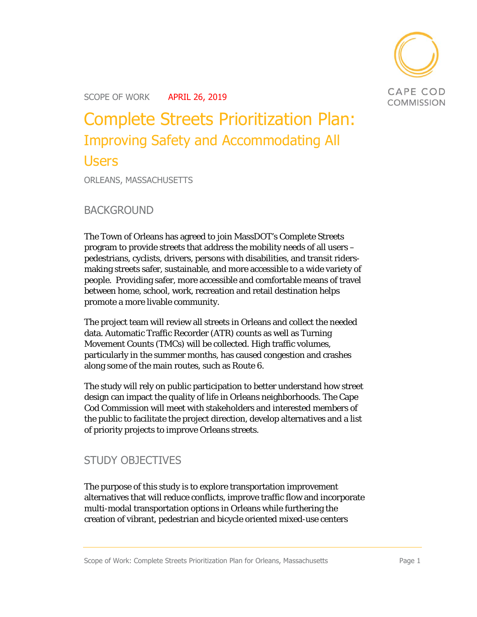

# Complete Streets Prioritization Plan: Improving Safety and Accommodating All Users

ORLEANS, MASSACHUSETTS

BACKGROUND

The Town of Orleans has agreed to join MassDOT's Complete Streets program to provide streets that address the mobility needs of all users – pedestrians, cyclists, drivers, persons with disabilities, and transit ridersmaking streets safer, sustainable, and more accessible to a wide variety of people. Providing safer, more accessible and comfortable means of travel between home, school, work, recreation and retail destination helps promote a more livable community.

The project team will review all streets in Orleans and collect the needed data. Automatic Traffic Recorder (ATR) counts as well as Turning Movement Counts (TMCs) will be collected. High traffic volumes, particularly in the summer months, has caused congestion and crashes along some of the main routes, such as Route 6.

The study will rely on public participation to better understand how street design can impact the quality of life in Orleans neighborhoods. The Cape Cod Commission will meet with stakeholders and interested members of the public to facilitate the project direction, develop alternatives and a list of priority projects to improve Orleans streets.

### STUDY OBJECTIVES

The purpose of this study is to explore transportation improvement alternatives that will reduce conflicts, improve traffic flow and incorporate multi-modal transportation options in Orleans while furthering the creation of vibrant, pedestrian and bicycle oriented mixed-use centers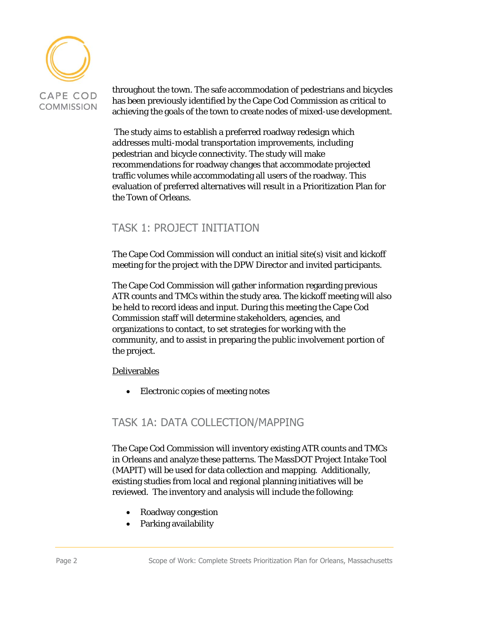

throughout the town. The safe accommodation of pedestrians and bicycles has been previously identified by the Cape Cod Commission as critical to achieving the goals of the town to create nodes of mixed-use development.

 The study aims to establish a preferred roadway redesign which addresses multi-modal transportation improvements, including pedestrian and bicycle connectivity. The study will make recommendations for roadway changes that accommodate projected traffic volumes while accommodating all users of the roadway. This evaluation of preferred alternatives will result in a Prioritization Plan for the Town of Orleans.

# TASK 1: PROJECT INITIATION

The Cape Cod Commission will conduct an initial site(s) visit and kickoff meeting for the project with the DPW Director and invited participants.

The Cape Cod Commission will gather information regarding previous ATR counts and TMCs within the study area. The kickoff meeting will also be held to record ideas and input. During this meeting the Cape Cod Commission staff will determine stakeholders, agencies, and organizations to contact, to set strategies for working with the community, and to assist in preparing the public involvement portion of the project.

Deliverables

Electronic copies of meeting notes

# TASK 1A: DATA COLLECTION/MAPPING

The Cape Cod Commission will inventory existing ATR counts and TMCs in Orleans and analyze these patterns. The MassDOT Project Intake Tool (MAPIT) will be used for data collection and mapping. Additionally, existing studies from local and regional planning initiatives will be reviewed. The inventory and analysis will include the following:

- Roadway congestion
- Parking availability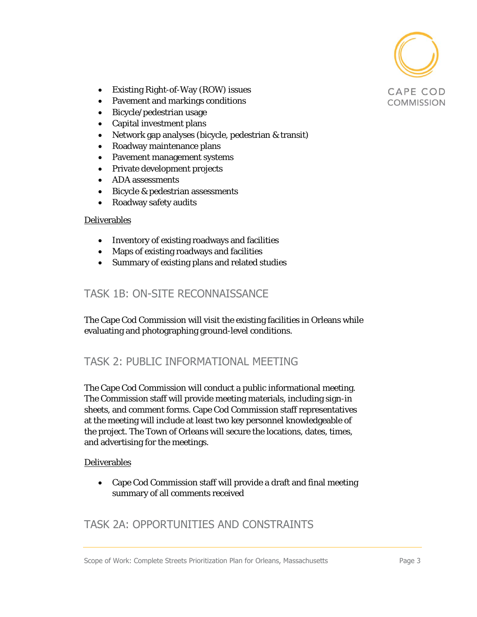

- Existing Right-of-Way (ROW) issues
- Pavement and markings conditions
- Bicycle/pedestrian usage
- Capital investment plans
- Network gap analyses (bicycle, pedestrian & transit)
- Roadway maintenance plans
- Pavement management systems
- Private development projects
- ADA assessments
- Bicycle & pedestrian assessments
- Roadway safety audits

#### Deliverables

- Inventory of existing roadways and facilities
- Maps of existing roadways and facilities
- Summary of existing plans and related studies

### TASK 1B: ON-SITE RECONNAISSANCE

The Cape Cod Commission will visit the existing facilities in Orleans while evaluating and photographing ground-level conditions.

### TASK 2: PUBLIC INFORMATIONAL MEETING

The Cape Cod Commission will conduct a public informational meeting. The Commission staff will provide meeting materials, including sign-in sheets, and comment forms. Cape Cod Commission staff representatives at the meeting will include at least two key personnel knowledgeable of the project. The Town of Orleans will secure the locations, dates, times, and advertising for the meetings.

#### Deliverables

 Cape Cod Commission staff will provide a draft and final meeting summary of all comments received

# TASK 2A: OPPORTUNITIES AND CONSTRAINTS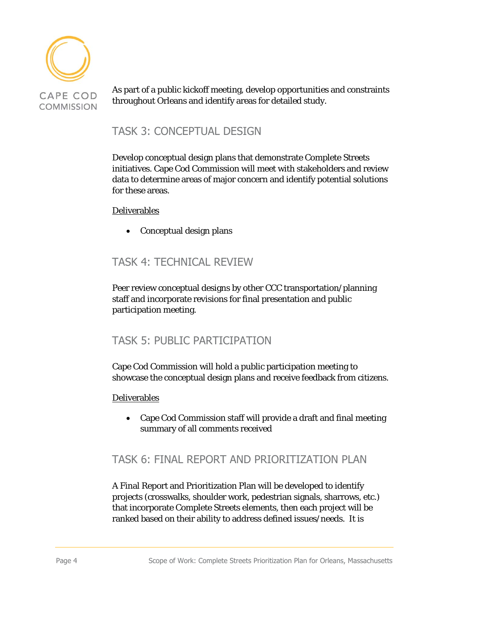

As part of a public kickoff meeting, develop opportunities and constraints throughout Orleans and identify areas for detailed study.

## TASK 3: CONCEPTUAL DESIGN

Develop conceptual design plans that demonstrate Complete Streets initiatives. Cape Cod Commission will meet with stakeholders and review data to determine areas of major concern and identify potential solutions for these areas.

#### Deliverables

• Conceptual design plans

# TASK 4: TECHNICAL REVIEW

Peer review conceptual designs by other CCC transportation/planning staff and incorporate revisions for final presentation and public participation meeting.

# TASK 5: PUBLIC PARTICIPATION

Cape Cod Commission will hold a public participation meeting to showcase the conceptual design plans and receive feedback from citizens.

#### Deliverables

 Cape Cod Commission staff will provide a draft and final meeting summary of all comments received

### TASK 6: FINAL REPORT AND PRIORITIZATION PLAN

A Final Report and Prioritization Plan will be developed to identify projects (crosswalks, shoulder work, pedestrian signals, sharrows, etc.) that incorporate Complete Streets elements, then each project will be ranked based on their ability to address defined issues/needs. It is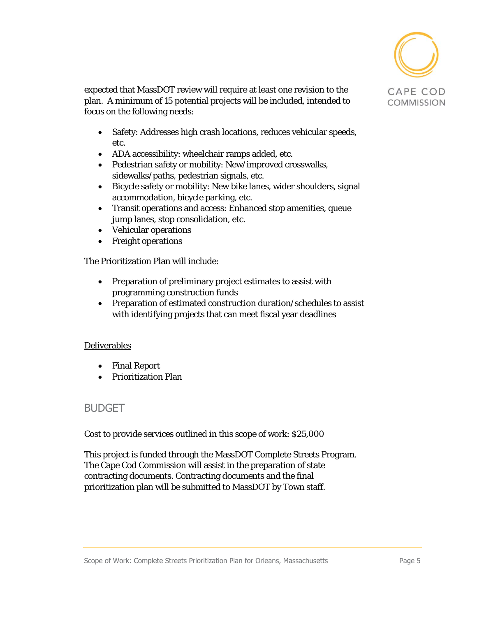

expected that MassDOT review will require at least one revision to the plan. A minimum of 15 potential projects will be included, intended to focus on the following needs:

- Safety: Addresses high crash locations, reduces vehicular speeds, etc.
- ADA accessibility: wheelchair ramps added, etc.
- Pedestrian safety or mobility: New/improved crosswalks, sidewalks/paths, pedestrian signals, etc.
- Bicycle safety or mobility: New bike lanes, wider shoulders, signal accommodation, bicycle parking, etc.
- Transit operations and access: Enhanced stop amenities, queue jump lanes, stop consolidation, etc.
- Vehicular operations
- Freight operations

The Prioritization Plan will include:

- Preparation of preliminary project estimates to assist with programming construction funds
- Preparation of estimated construction duration/schedules to assist with identifying projects that can meet fiscal year deadlines

#### Deliverables

- Final Report
- Prioritization Plan

#### BUDGET

Cost to provide services outlined in this scope of work: \$25,000

This project is funded through the MassDOT Complete Streets Program. The Cape Cod Commission will assist in the preparation of state contracting documents. Contracting documents and the final prioritization plan will be submitted to MassDOT by Town staff.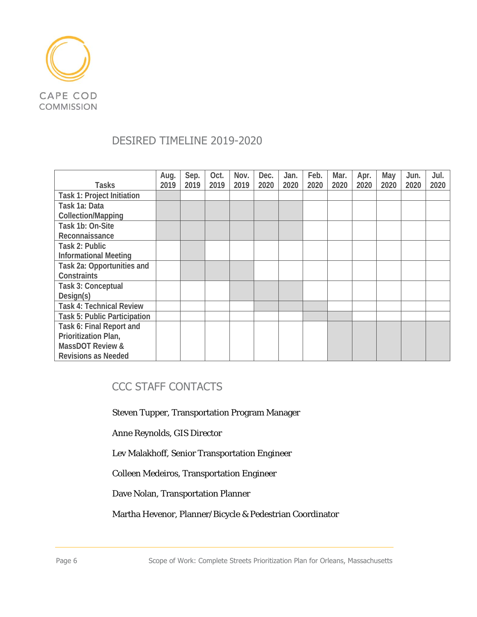

# DESIRED TIMELINE 2019-2020

|                                     | Aug. | Sep. | Oct. | Nov. | Dec. | Jan. | Feb. | Mar. | Apr. | May  | Jun. | Jul. |
|-------------------------------------|------|------|------|------|------|------|------|------|------|------|------|------|
| <b>Tasks</b>                        | 2019 | 2019 | 2019 | 2019 | 2020 | 2020 | 2020 | 2020 | 2020 | 2020 | 2020 | 2020 |
| <b>Task 1: Project Initiation</b>   |      |      |      |      |      |      |      |      |      |      |      |      |
| Task 1a: Data                       |      |      |      |      |      |      |      |      |      |      |      |      |
| <b>Collection/Mapping</b>           |      |      |      |      |      |      |      |      |      |      |      |      |
| Task 1b: On-Site                    |      |      |      |      |      |      |      |      |      |      |      |      |
| Reconnaissance                      |      |      |      |      |      |      |      |      |      |      |      |      |
| Task 2: Public                      |      |      |      |      |      |      |      |      |      |      |      |      |
| <b>Informational Meeting</b>        |      |      |      |      |      |      |      |      |      |      |      |      |
| Task 2a: Opportunities and          |      |      |      |      |      |      |      |      |      |      |      |      |
| Constraints                         |      |      |      |      |      |      |      |      |      |      |      |      |
| Task 3: Conceptual                  |      |      |      |      |      |      |      |      |      |      |      |      |
| Design(s)                           |      |      |      |      |      |      |      |      |      |      |      |      |
| <b>Task 4: Technical Review</b>     |      |      |      |      |      |      |      |      |      |      |      |      |
| <b>Task 5: Public Participation</b> |      |      |      |      |      |      |      |      |      |      |      |      |
| Task 6: Final Report and            |      |      |      |      |      |      |      |      |      |      |      |      |
| Prioritization Plan,                |      |      |      |      |      |      |      |      |      |      |      |      |
| <b>MassDOT Review &amp;</b>         |      |      |      |      |      |      |      |      |      |      |      |      |
| <b>Revisions as Needed</b>          |      |      |      |      |      |      |      |      |      |      |      |      |

# CCC STAFF CONTACTS

Steven Tupper, Transportation Program Manager

Anne Reynolds, GIS Director

Lev Malakhoff, Senior Transportation Engineer

Colleen Medeiros, Transportation Engineer

Dave Nolan, Transportation Planner

Martha Hevenor, Planner/Bicycle & Pedestrian Coordinator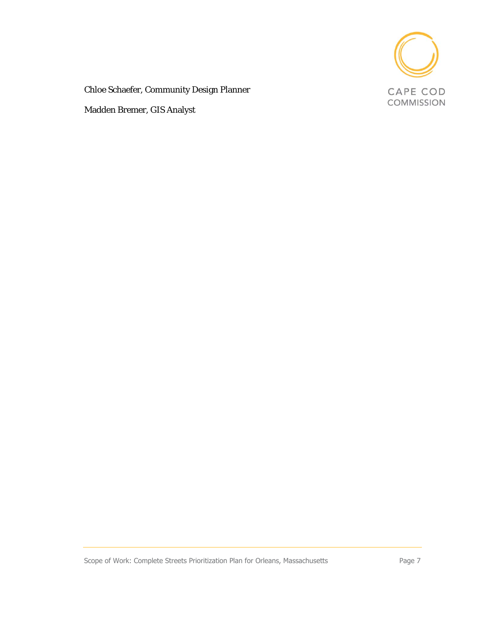

Chloe Schaefer, Community Design Planner

Madden Bremer, GIS Analyst

Scope of Work: Complete Streets Prioritization Plan for Orleans, Massachusetts Page 7